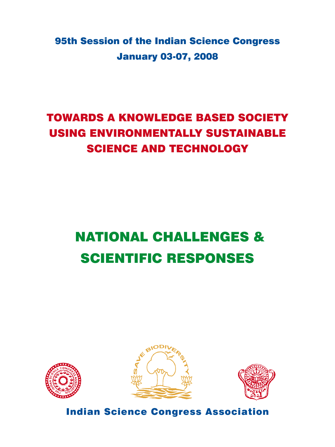95th Session of the Indian Science Congress January 03-07, 2008

## TOWARDS A KNOWLEDGE BASED SOCIETY USING ENVIRONMENTALLY SUSTAINABLE SCIENCE AND TECHNOLOGY

# NATIONAL CHALLENGES & SCIENTIFIC RESPONSES







Indian Science Congress Association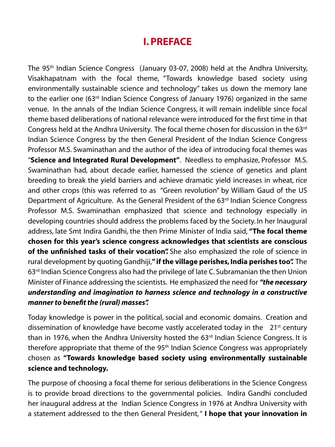### **I. Preface**

The 95<sup>th</sup> Indian Science Congress (January 03-07, 2008) held at the Andhra University, Visakhapatnam with the focal theme, "Towards knowledge based society using environmentally sustainable science and technology" takes us down the memory lane to the earlier one (63<sup>rd</sup> Indian Science Congress of January 1976) organized in the same venue. In the annals of the Indian Science Congress, it will remain indelible since focal theme based deliberations of national relevance were introduced for the first time in that Congress held at the Andhra University. The focal theme chosen for discussion in the 63rd Indian Science Congress by the then General President of the Indian Science Congress Professor M.S. Swaminathan and the author of the idea of introducing focal themes was "**Science and Integrated Rural Development"**. Needless to emphasize, Professor M.S. Swaminathan had, about decade earlier, harnessed the science of genetics and plant breeding to break the yield barriers and achieve dramatic yield increases in wheat, rice and other crops (this was referred to as "Green revolution" by William Gaud of the US Department of Agriculture. As the General President of the 63<sup>rd</sup> Indian Science Congress Professor M.S. Swaminathan emphasized that science and technology especially in developing countries should address the problems faced by the Society. In her Inaugural address, late Smt Indira Gandhi, the then Prime Minister of India said, **"The focal theme chosen for this year's science congress acknowledges that scientists are conscious of the unfinished tasks of their vocation".** She also emphasized the role of science in rural development by quoting Gandhiji,**" if the village perishes, India perishes too".** The 63<sup>rd</sup> Indian Science Congress also had the privilege of late C. Subramanian the then Union Minister of Finance addressing the scientists. He emphasized the need for *"the necessary understanding and imagination to harness science and technology in a constructive manner to benefit the (rural) masses".*

Today knowledge is power in the political, social and economic domains. Creation and dissemination of knowledge have become vastly accelerated today in the  $21<sup>st</sup>$  century than in 1976, when the Andhra University hosted the  $63<sup>rd</sup>$  Indian Science Congress. It is therefore appropriate that theme of the 95<sup>th</sup> Indian Science Congress was appropriately chosen as **"Towards knowledge based society using environmentally sustainable science and technology.**

The purpose of choosing a focal theme for serious deliberations in the Science Congress is to provide broad directions to the governmental policies. Indira Gandhi concluded her inaugural address at the Indian Science Congress in 1976 at Andhra University with a statement addressed to the then General President, " **I hope that your innovation in**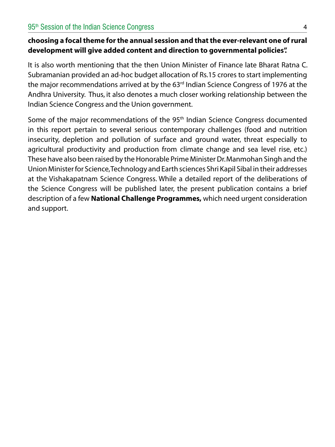#### **choosing a focal theme for the annual session and that the ever-relevant one of rural development will give added content and direction to governmental policies".**

It is also worth mentioning that the then Union Minister of Finance late Bharat Ratna C. Subramanian provided an ad-hoc budget allocation of Rs.15 crores to start implementing the major recommendations arrived at by the  $63<sup>rd</sup>$  Indian Science Congress of 1976 at the Andhra University. Thus, it also denotes a much closer working relationship between the Indian Science Congress and the Union government.

Some of the major recommendations of the 95<sup>th</sup> Indian Science Congress documented in this report pertain to several serious contemporary challenges (food and nutrition insecurity, depletion and pollution of surface and ground water, threat especially to agricultural productivity and production from climate change and sea level rise, etc.) These have also been raised by the Honorable Prime Minister Dr. Manmohan Singh and the Union Minister for Science, Technology and Earth sciences Shri Kapil Sibal in their addresses at the Vishakapatnam Science Congress. While a detailed report of the deliberations of the Science Congress will be published later, the present publication contains a brief description of a few **National Challenge Programmes,** which need urgent consideration and support.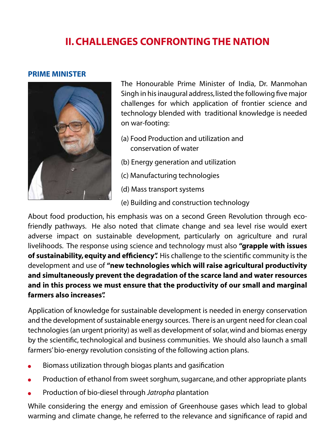### **II. Challenges Confronting the Nation**

#### **Prime Minister**



The Honourable Prime Minister of India, Dr. Manmohan Singh in his inaugural address, listed the following five major challenges for which application of frontier science and technology blended with traditional knowledge is needed on war-footing:

- (a) Food Production and utilization and conservation of water
- (b) Energy generation and utilization
- (c) Manufacturing technologies
- (d) Mass transport systems
- (e) Building and construction technology

About food production, his emphasis was on a second Green Revolution through ecofriendly pathways. He also noted that climate change and sea level rise would exert adverse impact on sustainable development, particularly on agriculture and rural livelihoods. The response using science and technology must also **"grapple with issues of sustainability, equity and efficiency".** His challenge to the scientific community is the development and use of **"new technologies which will raise agricultural productivity and simultaneously prevent the degradation of the scarce land and water resources and in this process we must ensure that the productivity of our small and marginal farmers also increases".**

Application of knowledge for sustainable development is needed in energy conservation and the development of sustainable energy sources. There is an urgent need for clean coal technologies (an urgent priority) as well as development of solar, wind and biomas energy by the scientific, technological and business communities. We should also launch a small farmers' bio-energy revolution consisting of the following action plans.

- Biomass utilization through biogas plants and gasification
- Production of ethanol from sweet sorghum, sugarcane, and other appropriate plants
- Production of bio-diesel through *Jatropha* plantation

While considering the energy and emission of Greenhouse gases which lead to global warming and climate change, he referred to the relevance and significance of rapid and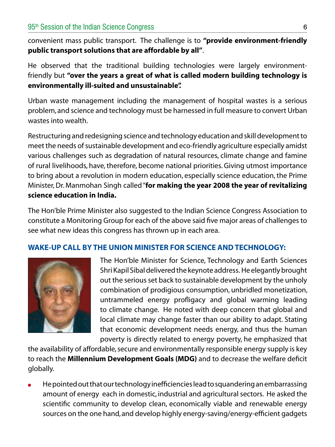convenient mass public transport. The challenge is to **"provide environment-friendly public transport solutions that are affordable by all"**.

He observed that the traditional building technologies were largely environmentfriendly but **"over the years a great of what is called modern building technology is environmentally ill-suited and unsustainable".**

Urban waste management including the management of hospital wastes is a serious problem, and science and technology must be harnessed in full measure to convert Urban wastes into wealth.

Restructuring and redesigning science and technology education and skill development to meet the needs of sustainable development and eco-friendly agriculture especially amidst various challenges such as degradation of natural resources, climate change and famine of rural livelihoods, have, therefore, become national priorities. Giving utmost importance to bring about a revolution in modern education, especially science education, the Prime Minister, Dr. Manmohan Singh called "**for making the year 2008 the year of revitalizing science education in India.**

The Hon'ble Prime Minister also suggested to the Indian Science Congress Association to constitute a Monitoring Group for each of the above said five major areas of challenges to see what new ideas this congress has thrown up in each area.

#### **Wake-up Call by the Union Minister for Science and Technology:**



The Hon'ble Minister for Science, Technology and Earth Sciences Shri Kapil Sibal delivered the keynote address. He elegantly brought out the serious set back to sustainable development by the unholy combination of prodigious consumption, unbridled monetization, untrammeled energy profligacy and global warming leading to climate change. He noted with deep concern that global and local climate may change faster than our ability to adapt. Stating that economic development needs energy, and thus the human poverty is directly related to energy poverty, he emphasized that

the availability of affordable, secure and environmentally responsible energy supply is key to reach the **Millennium Development Goals (MDG)** and to decrease the welfare deficit globally.

He pointed out that our technology inefficiencies lead to squandering an embarrassing amount of energy each in domestic, industrial and agricultural sectors. He asked the scientific community to develop clean, economically viable and renewable energy sources on the one hand, and develop highly energy-saving/energy-efficient gadgets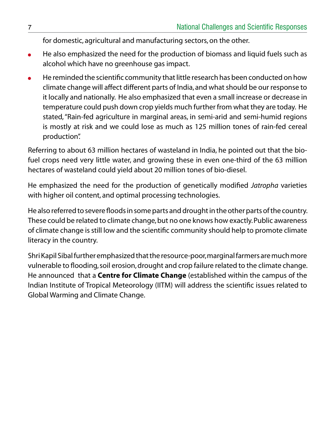for domestic, agricultural and manufacturing sectors, on the other.

- He also emphasized the need for the production of biomass and liquid fuels such as  $\bullet$ alcohol which have no greenhouse gas impact.
- He reminded the scientific community that little research has been conducted on how climate change will affect different parts of India, and what should be our response to it locally and nationally. He also emphasized that even a small increase or decrease in temperature could push down crop yields much further from what they are today. He stated, "Rain-fed agriculture in marginal areas, in semi-arid and semi-humid regions is mostly at risk and we could lose as much as 125 million tones of rain-fed cereal production".

Referring to about 63 million hectares of wasteland in India, he pointed out that the biofuel crops need very little water, and growing these in even one-third of the 63 million hectares of wasteland could yield about 20 million tones of bio-diesel.

He emphasized the need for the production of genetically modified *Jatropha* varieties with higher oil content, and optimal processing technologies.

He also referred to severe floods in some parts and drought in the other parts of the country. These could be related to climate change, but no one knows how exactly. Public awareness of climate change is still low and the scientific community should help to promote climate literacy in the country.

Shri Kapil Sibal further emphasized that the resource-poor, marginal farmers are much more vulnerable to flooding, soil erosion, drought and crop failure related to the climate change. He announced that a **Centre for Climate Change** (established within the campus of the Indian Institute of Tropical Meteorology (IITM) will address the scientific issues related to Global Warming and Climate Change.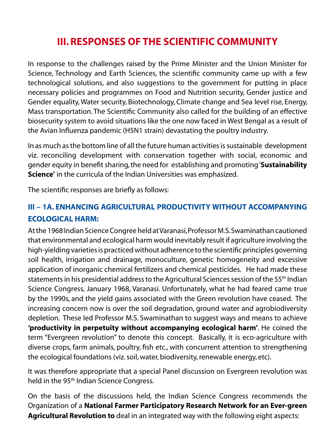### **III. Responses of the Scientific Community**

In response to the challenges raised by the Prime Minister and the Union Minister for Science, Technology and Earth Sciences, the scientific community came up with a few technological solutions, and also suggestions to the government for putting in place necessary policies and programmes on Food and Nutrition security, Gender justice and Gender equality, Water security, Biotechnology, Climate change and Sea level rise, Energy, Mass transportation. The Scientific Community also called for the building of an effective biosecurity system to avoid situations like the one now faced in West Bengal as a result of the Avian Influenza pandemic (H5N1 strain) devastating the poultry industry.

In as much as the bottom line of all the future human activities is sustainable development viz. reconciling development with conservation together with social, economic and gender equity in benefit sharing, the need for establishing and promoting '**Sustainability Science'** in the curricula of the Indian Universities was emphasized.

The scientific responses are briefly as follows:

#### **III – 1a. Enhancing agricultural productivity without accompanying ecological harm:**

At the 1968 Indian Science Congree held at Varanasi, Professor M.S. Swaminathan cautioned that environmental and ecological harm would inevitably result if agriculture involving the high-yielding varieties is practiced without adherence to the scientific principles governing soil health, irrigation and drainage, monoculture, genetic homogeneity and excessive application of inorganic chemical fertilizers and chemical pesticides. He had made these statements in his presidential address to the Agricultural Sciences session of the 55th Indian Science Congress, January 1968, Varanasi. Unfortunately, what he had feared came true by the 1990s, and the yield gains associated with the Green revolution have ceased. The increasing concern now is over the soil degradation, ground water and agrobiodiversity depletion. These led Professor M.S. Swaminathan to suggest ways and means to achieve **'productivity in perpetuity without accompanying ecological harm'**. He coined the term "Evergreen revolution" to denote this concept. Basically, it is eco-agriculture with diverse crops, farm animals, poultry, fish etc., with concurrent attention to strengthening the ecological foundations (viz. soil, water, biodiversity, renewable energy, etc).

It was therefore appropriate that a special Panel discussion on Evergreen revolution was held in the 95<sup>th</sup> Indian Science Congress.

On the basis of the discussions held, the Indian Science Congress recommends the Organization of a **National Farmer Participatory Research Network for an Ever-green Agricultural Revolution to** deal in an integrated way with the following eight aspects: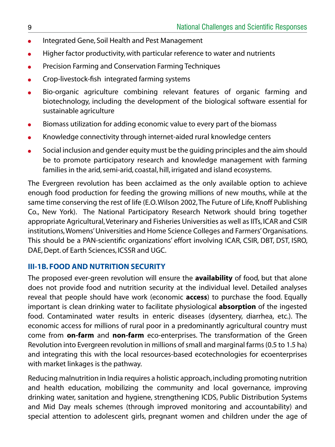- Integrated Gene, Soil Health and Pest Management  $\bullet$
- Higher factor productivity, with particular reference to water and nutrients
- Precision Farming and Conservation Farming Techniques
- Crop-livestock-fish integrated farming systems
- Bio-organic agriculture combining relevant features of organic farming and biotechnology, including the development of the biological software essential for sustainable agriculture
- Biomass utilization for adding economic value to every part of the biomass  $\bullet$
- Knowledge connectivity through internet-aided rural knowledge centers
- Social inclusion and gender equity must be the guiding principles and the aim should be to promote participatory research and knowledge management with farming families in the arid, semi-arid, coastal, hill, irrigated and island ecosystems.

The Evergreen revolution has been acclaimed as the only available option to achieve enough food production for feeding the growing millions of new mouths, while at the same time conserving the rest of life (E.O. Wilson 2002, The Future of Life, Knoff Publishing Co., New York). The National Participatory Research Network should bring together appropriate Agricultural, Veterinary and Fisheries Universities as well as IITs, ICAR and CSIR institutions, Womens' Universities and Home Science Colleges and Farmers' Organisations. This should be a PAN-scientific organizations' effort involving ICAR, CSIR, DBT, DST, ISRO, DAE, Dept. of Earth Sciences, ICSSR and UGC.

#### **III-1b. Food and Nutrition Security**

The proposed ever-green revolution will ensure the **availability** of food, but that alone does not provide food and nutrition security at the individual level. Detailed analyses reveal that people should have work (economic **access**) to purchase the food. Equally important is clean drinking water to facilitate physiological **absorption** of the ingested food. Contaminated water results in enteric diseases (dysentery, diarrhea, etc.). The economic access for millions of rural poor in a predominantly agricultural country must come from **on-farm** and **non-farm** eco-enterprises. The transformation of the Green Revolution into Evergreen revolution in millions of small and marginal farms (0.5 to 1.5 ha) and integrating this with the local resources-based ecotechnologies for ecoenterprises with market linkages is the pathway.

Reducing malnutrition in India requires a holistic approach, including promoting nutrition and health education, mobilizing the community and local governance, improving drinking water, sanitation and hygiene, strengthening ICDS, Public Distribution Systems and Mid Day meals schemes (through improved monitoring and accountability) and special attention to adolescent girls, pregnant women and children under the age of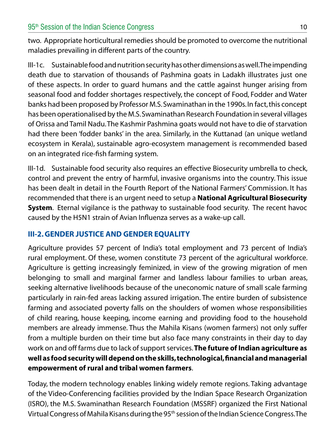two. Appropriate horticultural remedies should be promoted to overcome the nutritional maladies prevailing in different parts of the country.

III-1c. Sustainable food and nutrition security has other dimensions as well. The impending death due to starvation of thousands of Pashmina goats in Ladakh illustrates just one of these aspects. In order to guard humans and the cattle against hunger arising from seasonal food and fodder shortages respectively, the concept of Food, Fodder and Water banks had been proposed by Professor M.S. Swaminathan in the 1990s. In fact, this concept has been operationalised by the M.S. Swaminathan Research Foundation in several villages of Orissa and Tamil Nadu. The Kashmir Pashmina goats would not have to die of starvation had there been 'fodder banks' in the area. Similarly, in the Kuttanad (an unique wetland ecosystem in Kerala), sustainable agro-ecosystem management is recommended based on an integrated rice-fish farming system.

III-1d. Sustainable food security also requires an effective Biosecurity umbrella to check, control and prevent the entry of harmful, invasive organisms into the country. This issue has been dealt in detail in the Fourth Report of the National Farmers' Commission. It has recommended that there is an urgent need to setup a **National Agricultural Biosecurity System**. Eternal vigilance is the pathway to sustainable food security. The recent havoc caused by the H5N1 strain of Avian Influenza serves as a wake-up call.

#### **III-2. GENDER JUSTICE AND GENDER EQUALITY**

Agriculture provides 57 percent of India's total employment and 73 percent of India's rural employment. Of these, women constitute 73 percent of the agricultural workforce. Agriculture is getting increasingly feminized, in view of the growing migration of men belonging to small and marginal farmer and landless labour families to urban areas, seeking alternative livelihoods because of the uneconomic nature of small scale farming particularly in rain-fed areas lacking assured irrigation. The entire burden of subsistence farming and associated poverty falls on the shoulders of women whose responsibilities of child rearing, house keeping, income earning and providing food to the household members are already immense. Thus the Mahila Kisans (women farmers) not only suffer from a multiple burden on their time but also face many constraints in their day to day work on and off farms due to lack of support services. **The future of Indian agriculture as well as food security will depend on the skills, technological, financial and managerial empowerment of rural and tribal women farmers**.

Today, the modern technology enables linking widely remote regions. Taking advantage of the Video-Conferencing facilities provided by the Indian Space Research Organization (ISRO), the M.S. Swaminathan Research Foundation (MSSRF) organized the First National Virtual Congress of Mahila Kisans during the 95th session of the Indian Science Congress. The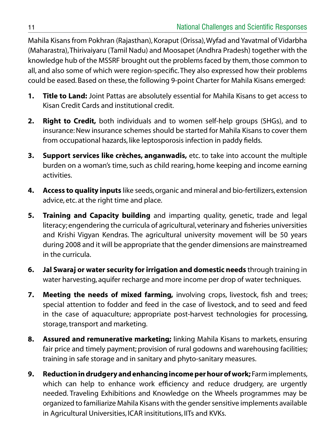Mahila Kisans from Pokhran (Rajasthan), Koraput (Orissa), Wyfad and Yavatmal of Vidarbha (Maharastra), Thirivaiyaru (Tamil Nadu) and Moosapet (Andhra Pradesh) together with the knowledge hub of the MSSRF brought out the problems faced by them, those common to all, and also some of which were region-specific. They also expressed how their problems could be eased. Based on these, the following 9-point Charter for Mahila Kisans emerged:

- **1. Title to Land:** Joint Pattas are absolutely essential for Mahila Kisans to get access to Kisan Credit Cards and institutional credit.
- **2. Right to Credit,** both individuals and to women self-help groups (SHGs), and to insurance: New insurance schemes should be started for Mahila Kisans to cover them from occupational hazards, like leptosporosis infection in paddy fields.
- **3. Support services like crèches, anganwadis,** etc. to take into account the multiple burden on a woman's time, such as child rearing, home keeping and income earning activities.
- **4. Access to quality inputs** like seeds, organic and mineral and bio-fertilizers, extension advice, etc. at the right time and place.
- **5. Training and Capacity building** and imparting quality, genetic, trade and legal literacy; engendering the curricula of agricultural, veterinary and fisheries universities and Krishi Vigyan Kendras. The agricultural university movement will be 50 years during 2008 and it will be appropriate that the gender dimensions are mainstreamed in the curricula.
- **6. Jal Swaraj or water security for irrigation and domestic needs** through training in water harvesting, aquifer recharge and more income per drop of water techniques.
- **7. Meeting the needs of mixed farming,** involving crops, livestock, fish and trees; special attention to fodder and feed in the case of livestock, and to seed and feed in the case of aquaculture; appropriate post-harvest technologies for processing, storage, transport and marketing.
- **8. Assured and remunerative marketing;** linking Mahila Kisans to markets, ensuring fair price and timely payment; provision of rural godowns and warehousing facilities; training in safe storage and in sanitary and phyto-sanitary measures.
- **9. Reduction in drudgery and enhancing income per hour of work;** Farm implements, which can help to enhance work efficiency and reduce drudgery, are urgently needed. Traveling Exhibitions and Knowledge on the Wheels programmes may be organized to familiarize Mahila Kisans with the gender sensitive implements available in Agricultural Universities, ICAR insititutions, IITs and KVKs.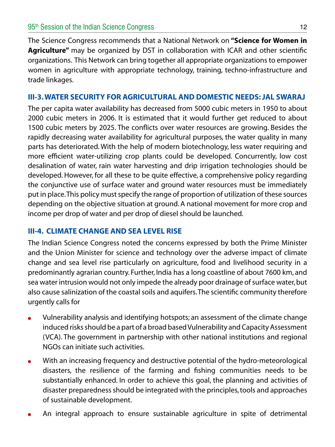The Science Congress recommends that a National Network on **"Science for Women in Agriculture"** may be organized by DST in collaboration with ICAR and other scientific organizations. This Network can bring together all appropriate organizations to empower women in agriculture with appropriate technology, training, techno-infrastructure and trade linkages.

#### **III-3. Water Security for agricultural and domestic needs: Jal Swaraj**

The per capita water availability has decreased from 5000 cubic meters in 1950 to about 2000 cubic meters in 2006. It is estimated that it would further get reduced to about 1500 cubic meters by 2025. The conflicts over water resources are growing. Besides the rapidly decreasing water availability for agricultural purposes, the water quality in many parts has deteriorated. With the help of modern biotechnology, less water requiring and more efficient water-utilizing crop plants could be developed. Concurrently, low cost desalination of water, rain water harvesting and drip irrigation technologies should be developed. However, for all these to be quite effective, a comprehensive policy regarding the conjunctive use of surface water and ground water resources must be immediately put in place. This policy must specify the range of proportion of utilization of these sources depending on the objective situation at ground. A national movement for more crop and income per drop of water and per drop of diesel should be launched.

#### **III-4. Climate Change and Sea Level Rise**

The Indian Science Congress noted the concerns expressed by both the Prime Minister and the Union Minister for science and technology over the adverse impact of climate change and sea level rise particularly on agriculture, food and livelihood security in a predominantly agrarian country. Further, India has a long coastline of about 7600 km, and sea water intrusion would not only impede the already poor drainage of surface water, but also cause salinization of the coastal soils and aquifers. The scientific community therefore urgently calls for

- Vulnerability analysis and identifying hotspots; an assessment of the climate change induced risks should be a part of a broad based Vulnerability and Capacity Assessment (VCA). The government in partnership with other national institutions and regional NGOs can initiate such activities.
- With an increasing frequency and destructive potential of the hydro-meteorological  $\bullet$ disasters, the resilience of the farming and fishing communities needs to be substantially enhanced. In order to achieve this goal, the planning and activities of disaster preparedness should be integrated with the principles, tools and approaches of sustainable development.
- An integral approach to ensure sustainable agriculture in spite of detrimental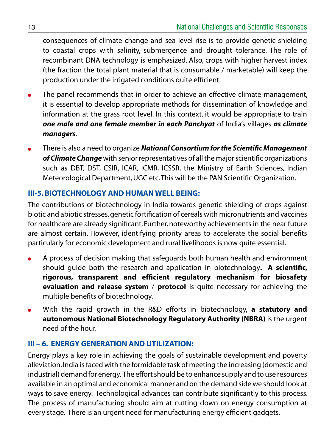consequences of climate change and sea level rise is to provide genetic shielding to coastal crops with salinity, submergence and drought tolerance. The role of recombinant DNA technology is emphasized. Also, crops with higher harvest index (the fraction the total plant material that is consumable / marketable) will keep the production under the irrigated conditions quite efficient.

- The panel recommends that in order to achieve an effective climate management, it is essential to develop appropriate methods for dissemination of knowledge and information at the grass root level. In this context, it would be appropriate to train *one male and one female member in each Panchyat* of India's villages *as climate managers*.
- There is also a need to organize *National Consortium for the Scientific Management of Climate Change* with senior representatives of all the major scientific organizations such as DBT, DST, CSIR, ICAR, ICMR, ICSSR, the Ministry of Earth Sciences, Indian Meteorological Department, UGC etc. This will be the PAN Scientific Organization.

#### **III-5. Biotechnology and Human Well Being:**

The contributions of biotechnology in India towards genetic shielding of crops against biotic and abiotic stresses, genetic fortification of cereals with micronutrients and vaccines for healthcare are already significant. Further, noteworthy achievements in the near future are almost certain. However, identifying priority areas to accelerate the social benefits particularly for economic development and rural livelihoods is now quite essential.

- A process of decision making that safeguards both human health and environment should guide both the research and application in biotechnology**. A scientific, rigorous, transparent and efficient regulatory mechanism for biosafety evaluation and release system** / **protocol** is quite necessary for achieving the multiple benefits of biotechnology.
- With the rapid growth in the R&D efforts in biotechnology, **a statutory and**   $\bullet$ **autonomous National Biotechnology Regulatory Authority (NBRA)** is the urgent need of the hour.

#### **III – 6. Energy Generation and Utilization:**

Energy plays a key role in achieving the goals of sustainable development and poverty alleviation. India is faced with the formidable task of meeting the increasing (domestic and industrial) demand for energy. The effort should be to enhance supply and to use resources available in an optimal and economical manner and on the demand side we should look at ways to save energy. Technological advances can contribute significantly to this process. The process of manufacturing should aim at cutting down on energy consumption at every stage. There is an urgent need for manufacturing energy efficient gadgets.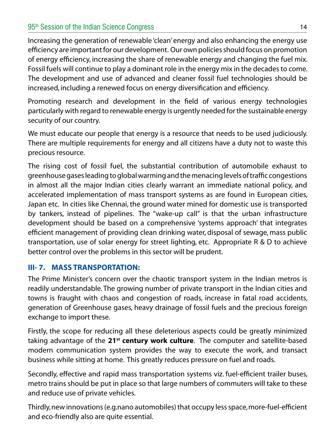#### 95<sup>th</sup> Session of the Indian Science Congress 14 and 200 methods 14 and 200 methods 14 and 200 methods 14 and 200 methods 14 and 200 methods 14 and 200 methods 14 and 200 methods 14 and 200 methods 14 and 200 methods 14 an

Increasing the generation of renewable 'clean' energy and also enhancing the energy use efficiency are important for our development. Our own policies should focus on promotion of energy efficiency, increasing the share of renewable energy and changing the fuel mix. Fossil fuels will continue to play a dominant role in the energy mix in the decades to come. The development and use of advanced and cleaner fossil fuel technologies should be increased, including a renewed focus on energy diversification and efficiency.

Promoting research and development in the field of various energy technologies particularly with regard to renewable energy is urgently needed for the sustainable energy security of our country.

We must educate our people that energy is a resource that needs to be used judiciously. There are multiple requirements for energy and all citizens have a duty not to waste this precious resource.

The rising cost of fossil fuel, the substantial contribution of automobile exhaust to greenhouse gases leading to global warming and the menacing levels of traffic congestions in almost all the major Indian cities clearly warrant an immediate national policy, and accelerated implementation of mass transport systems as are found in European cities, Japan etc. In cities like Chennai, the ground water mined for domestic use is transported by tankers, instead of pipelines. The "wake-up call" is that the urban infrastructure development should be based on a comprehensive 'systems approach' that integrates efficient management of providing clean drinking water, disposal of sewage, mass public transportation, use of solar energy for street lighting, etc. Appropriate R & D to achieve better control over the problems in this sector will be prudent.

#### **III- 7. Mass Transportation:**

The Prime Minister's concern over the chaotic transport system in the Indian metros is readily understandable. The growing number of private transport in the Indian cities and towns is fraught with chaos and congestion of roads, increase in fatal road accidents, generation of Greenhouse gases, heavy drainage of fossil fuels and the precious foreign exchange to import these.

Firstly, the scope for reducing all these deleterious aspects could be greatly minimized taking advantage of the **21st century work culture**. The computer and satellite-based modern communication system provides the way to execute the work, and transact business while sitting at home. This greatly reduces pressure on fuel and roads.

Secondly, effective and rapid mass transportation systems viz. fuel-efficient trailer buses, metro trains should be put in place so that large numbers of commuters will take to these and reduce use of private vehicles.

Thirdly, new innovations (e.g.nano automobiles) that occupy less space, more-fuel-efficient and eco-friendly also are quite essential.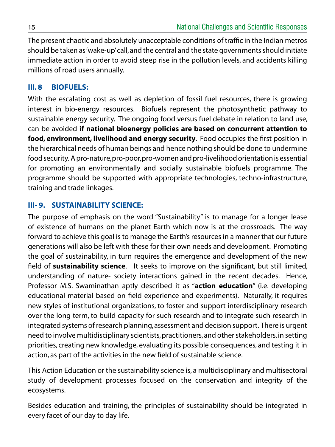The present chaotic and absolutely unacceptable conditions of traffic in the Indian metros should be taken as 'wake-up' call, and the central and the state governments should initiate immediate action in order to avoid steep rise in the pollution levels, and accidents killing millions of road users annually.

#### **III. 8 Biofuels:**

With the escalating cost as well as depletion of fossil fuel resources, there is growing interest in bio-energy resources. Biofuels represent the photosynthetic pathway to sustainable energy security. The ongoing food versus fuel debate in relation to land use, can be avoided **if national bioenergy policies are based on concurrent attention to food, environment, livelihood and energy security**. Food occupies the first position in the hierarchical needs of human beings and hence nothing should be done to undermine food security. A pro-nature, pro-poor, pro-women and pro-livelihood orientation is essential for promoting an environmentally and socially sustainable biofuels programme. The programme should be supported with appropriate technologies, techno-infrastructure, training and trade linkages.

#### **III- 9. Sustainability Science:**

The purpose of emphasis on the word "Sustainability" is to manage for a longer lease of existence of humans on the planet Earth which now is at the crossroads. The way forward to achieve this goal is to manage the Earth's resources in a manner that our future generations will also be left with these for their own needs and development. Promoting the goal of sustainability, in turn requires the emergence and development of the new field of **sustainability science**. It seeks to improve on the significant, but still limited, understanding of nature- society interactions gained in the recent decades. Hence, Professor M.S. Swaminathan aptly described it as "**action education**" (i.e. developing educational material based on field experience and experiments). Naturally, it requires new styles of institutional organizations, to foster and support interdisciplinary research over the long term, to build capacity for such research and to integrate such research in integrated systems of research planning, assessment and decision support. There is urgent need to involve multidisciplinary scientists, practitioners, and other stakeholders, in setting priorities, creating new knowledge, evaluating its possible consequences, and testing it in action, as part of the activities in the new field of sustainable science.

This Action Education or the sustainability science is, a multidisciplinary and multisectoral study of development processes focused on the conservation and integrity of the ecosystems.

Besides education and training, the principles of sustainability should be integrated in every facet of our day to day life.